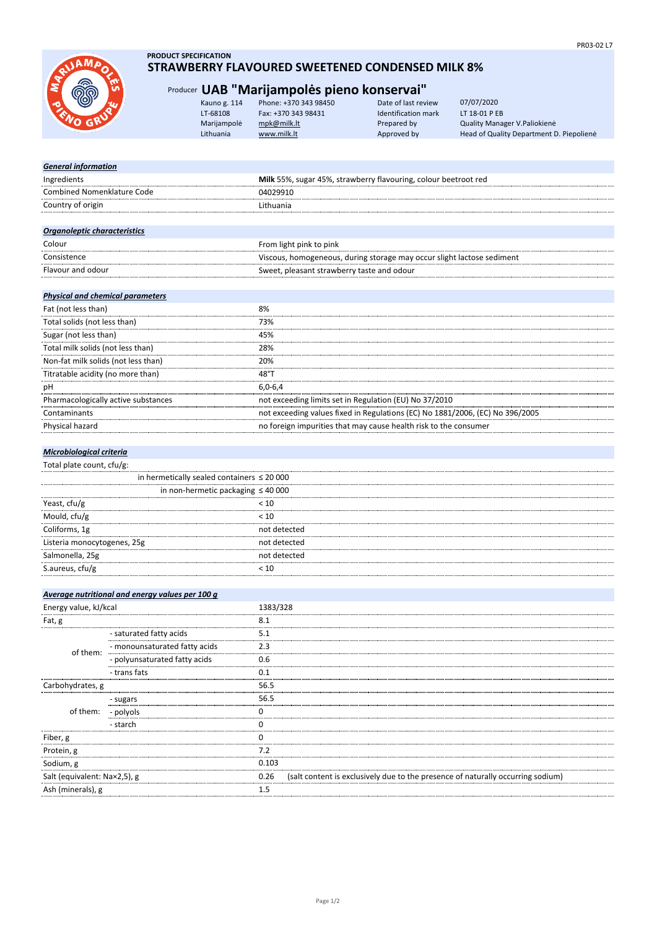

## **PRODUCT SPECIFICATION STRAWBERRY FLAVOURED SWEETENED CONDENSED MILK 8%**

## Producer **UAB "Marijampolės pieno konservai"**

| Kauno g. 114 | Phone: +370 343 98450 | Date of last review | 07/07/2020                               |
|--------------|-----------------------|---------------------|------------------------------------------|
| LT-68108     | Fax: +370 343 98431   | Identification mark | LT 18-01 P EB                            |
| Marijampolė  | mpk@milk.lt           | Prepared by         | Quality Manager V. Paliokienė            |
| Lithuania    | www.milk.lt           | Approved by         | Head of Quality Department D. Piepolienė |
|              |                       |                     |                                          |

## *General information*

| Ingredients                  | Milk 55%, sugar 45%, strawberry flavouring, colour beetroot red        |
|------------------------------|------------------------------------------------------------------------|
| Combined Nomenklature Code   | 04029910                                                               |
| Country of origin            | Lithuania                                                              |
|                              |                                                                        |
| Organoleptic characteristics |                                                                        |
| Colour                       | From light pink to pink                                                |
| Consistence                  | Viscous, homogeneous, during storage may occur slight lactose sediment |
| Flavour and odour            | Sweet, pleasant strawberry taste and odour                             |
|                              |                                                                        |

## *Physical and chemical parameters*

| Fat (not less than)                 | 8%                                                                            |
|-------------------------------------|-------------------------------------------------------------------------------|
| Total solids (not less than)        | 73%                                                                           |
| Sugar (not less than)               | 45%                                                                           |
| Total milk solids (not less than)   | 28%                                                                           |
| Non-fat milk solids (not less than) | 20%                                                                           |
| Titratable acidity (no more than)   | 48°T                                                                          |
| pH                                  | $6.0 - 6.4$                                                                   |
| Pharmacologically active substances | not exceeding limits set in Regulation (EU) No 37/2010                        |
| Contaminants                        | not exceeding values fixed in Regulations (EC) No 1881/2006, (EC) No 396/2005 |
| Physical hazard                     | no foreign impurities that may cause health risk to the consumer              |

## *Microbiological criteria*

Total plate count, cfu/g:

|                             | in hermetically sealed containers $\leq 20000$ |  |
|-----------------------------|------------------------------------------------|--|
|                             | in non-hermetic packaging $\leq 40000$         |  |
| Yeast, cfu/g                | < 10                                           |  |
| Mould, cfu/g                | < 10                                           |  |
| Coliforms, 1g               | not detected                                   |  |
| Listeria monocytogenes, 25g | not detected                                   |  |
| Salmonella, 25g             | not detected                                   |  |
| S.aureus, cfu/g             |                                                |  |
|                             |                                                |  |

|                              | Average nutritional and energy values per 100 g |          |                                                                                 |
|------------------------------|-------------------------------------------------|----------|---------------------------------------------------------------------------------|
| Energy value, kJ/kcal        |                                                 | 1383/328 |                                                                                 |
| Fat, g                       |                                                 | 8.1      |                                                                                 |
|                              | - saturated fatty acids                         | 5.1      |                                                                                 |
| of them:                     | - monounsaturated fatty acids                   | 2.3      |                                                                                 |
|                              | - polyunsaturated fatty acids                   | 0.6      |                                                                                 |
|                              | - trans fats                                    | 0.1      |                                                                                 |
| Carbohydrates, g             |                                                 | 56.5     |                                                                                 |
|                              | - sugars                                        | 56.5     |                                                                                 |
| of them: - polyols           |                                                 |          |                                                                                 |
|                              | - starch                                        |          |                                                                                 |
| Fiber, g                     |                                                 |          |                                                                                 |
| Protein, g                   |                                                 | 7.2      |                                                                                 |
| Sodium, g                    |                                                 | 0.103    |                                                                                 |
| Salt (equivalent: Na×2,5), g |                                                 | 0.26     | (salt content is exclusively due to the presence of naturally occurring sodium) |
| Ash (minerals), g            |                                                 | 1.5      |                                                                                 |